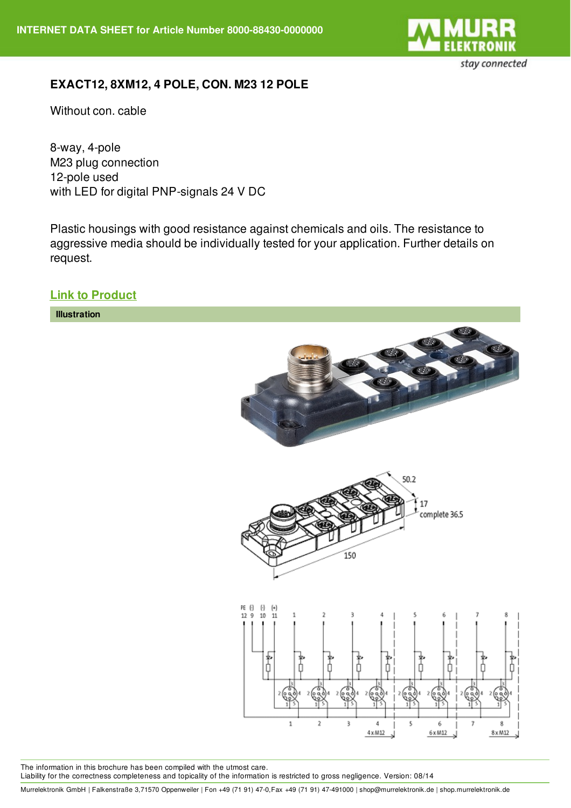

## **EXACT12, 8XM12, 4 POLE, CON. M23 12 POLE**

Without con. cable

8-way, 4-pole M23 plug connection 12-pole used with LED for digital PNP-signals 24 V DC

Plastic housings with good resistance against chemicals and oils. The resistance to aggressive media should be individually tested for your application. Further details on request.

**Link to [Product](http://shop.murrelektronik.de/8000-88430-0000000?lang=1)**



The information in this brochure has been compiled with the utmost care. Liability for the correctness completeness and topicality of the information is restricted to gross negligence. Version: 08/14

Murrelektronik GmbH | Falkenstraße 3,71570 Oppenweiler | Fon +49 (71 91) 47-0,Fax +49 (71 91) 47-491000 | shop@murrelektronik.de | shop.murrelektronik.de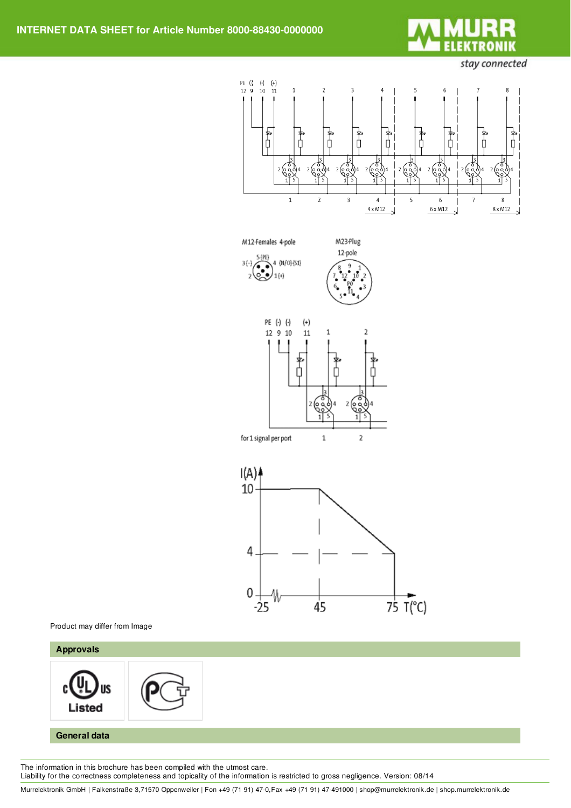

stay connected









Product may differ from Image

## **Approvals** JS Listed **General data**

The information in this brochure has been compiled with the utmost care. Liability for the correctness completeness and topicality of the information is restricted to gross negligence. Version: 08/14

Murrelektronik GmbH | Falkenstraße 3,71570 Oppenweiler | Fon +49 (71 91) 47-0,Fax +49 (71 91) 47-491000 | shop@murrelektronik.de | shop.murrelektronik.de